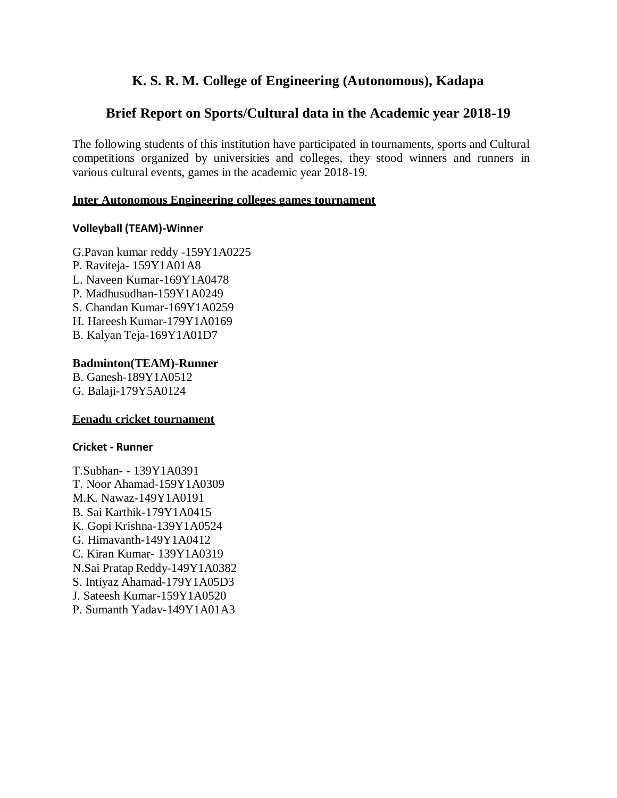# **K. S. R. M. College of Engineering (Autonomous), Kadapa**

# **Brief Report on Sports/Cultural data in the Academic year 2018-19**

The following students of this institution have participated in tournaments, sports and Cultural competitions organized by universities and colleges, they stood winners and runners in various cultural events, games in the academic year 2018-19.

#### **Inter Autonomous Engineering colleges games tournament**

### **Volleyball (TEAM)-Winner**

- G.Pavan kumar reddy -159Y1A0225
- P. Raviteja- 159Y1A01A8
- L. Naveen Kumar-169Y1A0478
- P. Madhusudhan-159Y1A0249
- S. Chandan Kumar-169Y1A0259
- H. Hareesh Kumar-179Y1A0169
- B. Kalyan Teja-169Y1A01D7

# **Badminton(TEAM)-Runner**

B. Ganesh-189Y1A0512 G. Balaji-179Y5A0124

#### **Eenadu cricket tournament**

#### **Cricket - Runner**

T.Subhan- - 139Y1A0391 T. Noor Ahamad-159Y1A0309 M.K. Nawaz-149Y1A0191 B. Sai Karthik-179Y1A0415 K. Gopi Krishna-139Y1A0524 G. Himavanth-149Y1A0412 C. Kiran Kumar- 139Y1A0319 N.Sai Pratap Reddy-149Y1A0382 S. Intiyaz Ahamad-179Y1A05D3 J. Sateesh Kumar-159Y1A0520 P. Sumanth Yadav-149Y1A01A3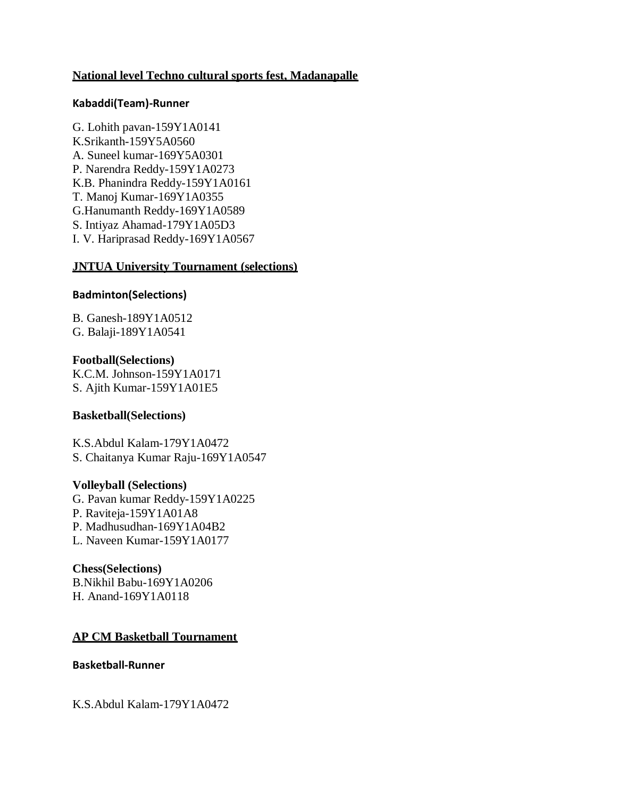## **National level Techno cultural sports fest, Madanapalle**

#### **Kabaddi(Team)-Runner**

G. Lohith pavan-159Y1A0141 K.Srikanth-159Y5A0560 A. Suneel kumar-169Y5A0301 P. Narendra Reddy-159Y1A0273 K.B. Phanindra Reddy-159Y1A0161 T. Manoj Kumar-169Y1A0355 G.Hanumanth Reddy-169Y1A0589 S. Intiyaz Ahamad-179Y1A05D3 I. V. Hariprasad Reddy-169Y1A0567

### **JNTUA University Tournament (selections)**

### **Badminton(Selections)**

B. Ganesh-189Y1A0512 G. Balaji-189Y1A0541

**Football(Selections)** K.C.M. Johnson-159Y1A0171 S. Ajith Kumar-159Y1A01E5

#### **Basketball(Selections)**

K.S.Abdul Kalam-179Y1A0472 S. Chaitanya Kumar Raju-169Y1A0547

#### **Volleyball (Selections)**

G. Pavan kumar Reddy-159Y1A0225 P. Raviteja-159Y1A01A8 P. Madhusudhan-169Y1A04B2 L. Naveen Kumar-159Y1A0177

#### **Chess(Selections)**

B.Nikhil Babu-169Y1A0206 H. Anand-169Y1A0118

# **AP CM Basketball Tournament**

### **Basketball-Runner**

K.S.Abdul Kalam-179Y1A0472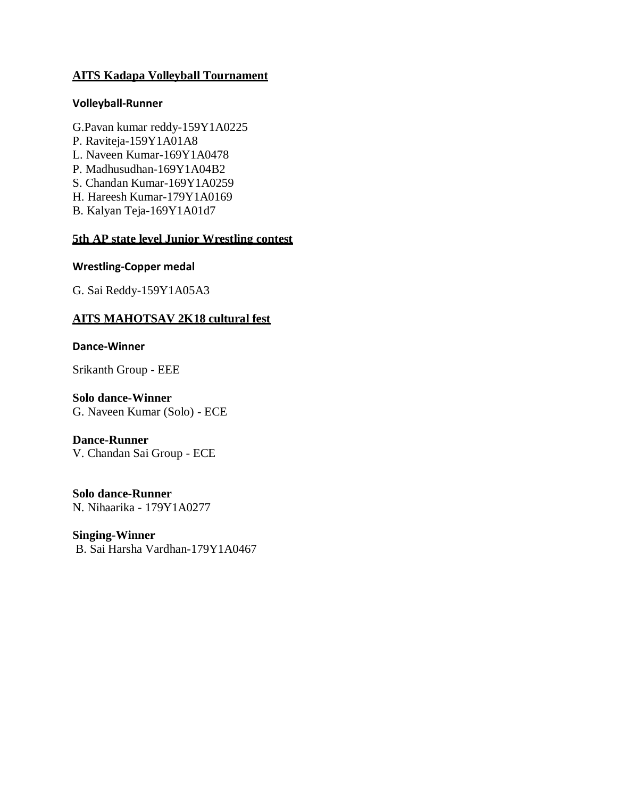# **AITS Kadapa Volleyball Tournament**

### **Volleyball-Runner**

- G.Pavan kumar reddy-159Y1A0225
- P. Raviteja-159Y1A01A8
- L. Naveen Kumar-169Y1A0478
- P. Madhusudhan-169Y1A04B2
- S. Chandan Kumar-169Y1A0259
- H. Hareesh Kumar-179Y1A0169
- B. Kalyan Teja-169Y1A01d7

# **5th AP state level Junior Wrestling contest**

### **Wrestling-Copper medal**

G. Sai Reddy-159Y1A05A3

# **AITS MAHOTSAV 2K18 cultural fest**

### **Dance-Winner**

Srikanth Group - EEE

## **Solo dance-Winner**

G. Naveen Kumar (Solo) - ECE

# **Dance-Runner**

V. Chandan Sai Group - ECE

#### **Solo dance-Runner** N. Nihaarika - 179Y1A0277

**Singing-Winner** B. Sai Harsha Vardhan-179Y1A0467